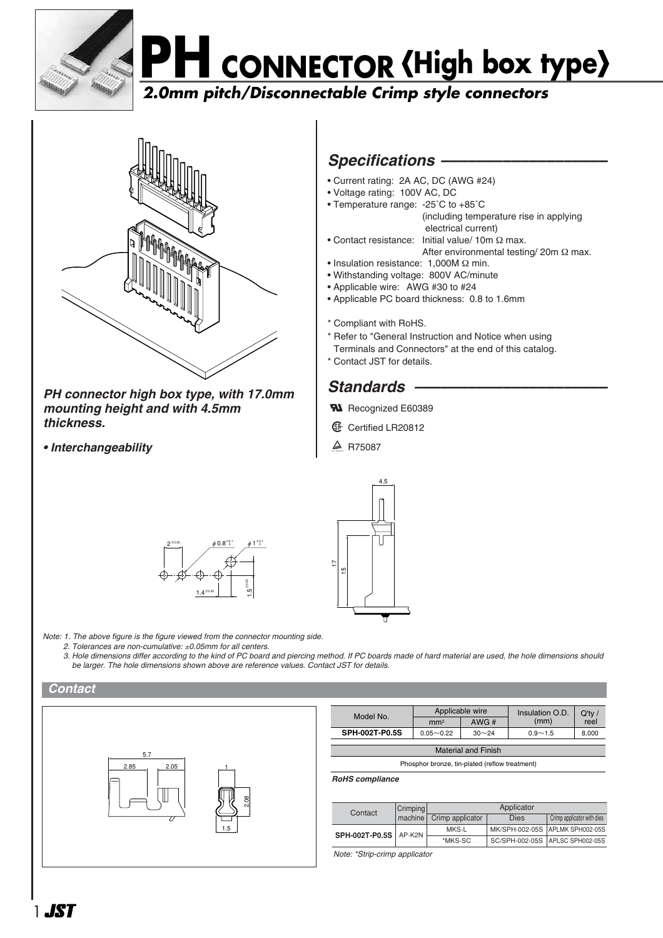

## **PH CONNECTOR High box type**

## **2.0mm pitch/Disconnectable Crimp style connectors**



*PH connector high box type, with 17.0mm mounting height and with 4.5mm thickness.*

*• Interchangeability*



- Current rating: 2A AC, DC (AWG #24)
- Voltage rating: 100V AC, DC
- Temperature range: -25˚C to +85˚C (including temperature rise in applying electrical current)
- Contact resistance: Initial value/ 10m Ω max. After environmental testing/ 20m Ω max.
- Insulation resistance: 1,000M Ω min.
- Withstanding voltage: 800V AC/minute
- Applicable wire: AWG #30 to #24
- Applicable PC board thickness: 0.8 to 1.6mm
- \* Compliant with RoHS.
- \* Refer to "General Instruction and Notice when using
- Terminals and Connectors" at the end of this catalog.
- \* Contact JST for details.

## Standards –

- **W** Recognized E60389
- **1** Certified LR20812
- $\triangle$  R75087





*Note: 1. The above figure is the figure viewed from the connector mounting side.*

- *2. Tolerances are non-cumulative:* ±*0.05mm for all centers.*
- *3. Hole dimensions differ according to the kind of PC board and piercing method. If PC boards made of hard material are used, the hole dimensions should be larger. The hole dimensions shown above are reference values. Contact JST for details.*





| Model No.             | Applicable wire |           | Insulation O.D. | O'tv  |
|-----------------------|-----------------|-----------|-----------------|-------|
|                       | mm <sup>2</sup> | AWG#      | (mm)            | reel  |
| <b>SPH-002T-P0.5S</b> | $0.05 - 0.22$   | $30 - 24$ | $0.9 - 1.5$     | 8,000 |
|                       |                 |           |                 |       |

Material and Finish

Phosphor bronze, tin-plated (reflow treatment)

*RoHS compliance*

| Contact                 | Crimping | Applicator       |      |                                 |  |
|-------------------------|----------|------------------|------|---------------------------------|--|
|                         | machine  | Crimp applicator | Dies | Crimp applicator with dies      |  |
| SPH-002T-P0.5S   AP-K2N |          | MKS-L            |      | MK/SPH-002-05S APLMK SPH002-05S |  |
|                         |          | *MKS-SC          |      | SC/SPH-002-05S APLSC SPH002-05S |  |

*Note: \*Strip-crimp applicator*